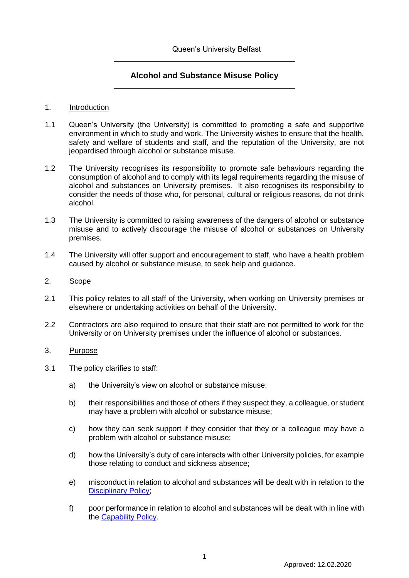# **Alcohol and Substance Misuse Policy** \_\_\_\_\_\_\_\_\_\_\_\_\_\_\_\_\_\_\_\_\_\_\_\_\_\_\_\_\_\_\_\_\_\_\_\_\_\_\_\_\_\_\_

\_\_\_\_\_\_\_\_\_\_\_\_\_\_\_\_\_\_\_\_\_\_\_\_\_\_\_\_\_\_\_\_\_\_\_\_\_\_\_\_\_\_\_

### 1. Introduction

- 1.1 Queen's University (the University) is committed to promoting a safe and supportive environment in which to study and work. The University wishes to ensure that the health, safety and welfare of students and staff, and the reputation of the University, are not jeopardised through alcohol or substance misuse.
- 1.2 The University recognises its responsibility to promote safe behaviours regarding the consumption of alcohol and to comply with its legal requirements regarding the misuse of alcohol and substances on University premises. It also recognises its responsibility to consider the needs of those who, for personal, cultural or religious reasons, do not drink alcohol.
- 1.3 The University is committed to raising awareness of the dangers of alcohol or substance misuse and to actively discourage the misuse of alcohol or substances on University premises.
- 1.4 The University will offer support and encouragement to staff, who have a health problem caused by alcohol or substance misuse, to seek help and guidance.

## 2. Scope

- 2.1 This policy relates to all staff of the University, when working on University premises or elsewhere or undertaking activities on behalf of the University.
- 2.2 Contractors are also required to ensure that their staff are not permitted to work for the University or on University premises under the influence of alcohol or substances.

### 3. Purpose

- 3.1 The policy clarifies to staff:
	- a) the University's view on alcohol or substance misuse;
	- b) their responsibilities and those of others if they suspect they, a colleague, or student may have a problem with alcohol or substance misuse;
	- c) how they can seek support if they consider that they or a colleague may have a problem with alcohol or substance misuse;
	- d) how the University's duty of care interacts with other University policies, for example those relating to conduct and sickness absence;
	- e) misconduct in relation to alcohol and substances will be dealt with in relation to the **[Disciplinary Policy;](http://www.qub.ac.uk/directorates/HumanResources/MoreDetails/EmploymentPractices/PerformanceandConduct/Discipline/)**
	- f) poor performance in relation to alcohol and substances will be dealt with in line with the [Capability Policy.](http://www.qub.ac.uk/directorates/HumanResources/MoreDetails/EmploymentPractices/PerformanceandConduct/Capability/)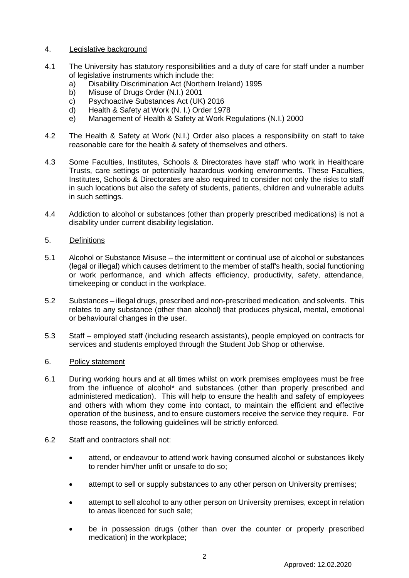### 4. Legislative background

- 4.1 The University has statutory responsibilities and a duty of care for staff under a number of legislative instruments which include the:
	- a) Disability Discrimination Act (Northern Ireland) 1995
	- b) Misuse of Drugs Order (N.I.) 2001
	- c) Psychoactive Substances Act (UK) 2016
	- d) Health & Safety at Work (N. I.) Order 1978
	- e) Management of Health & Safety at Work Regulations (N.I.) 2000
- 4.2 The Health & Safety at Work (N.I.) Order also places a responsibility on staff to take reasonable care for the health & safety of themselves and others.
- 4.3 Some Faculties, Institutes, Schools & Directorates have staff who work in Healthcare Trusts, care settings or potentially hazardous working environments. These Faculties, Institutes, Schools & Directorates are also required to consider not only the risks to staff in such locations but also the safety of students, patients, children and vulnerable adults in such settings.
- 4.4 Addiction to alcohol or substances (other than properly prescribed medications) is not a disability under current disability legislation.

### 5. Definitions

- 5.1 Alcohol or Substance Misuse the intermittent or continual use of alcohol or substances (legal or illegal) which causes detriment to the member of staff's health, social functioning or work performance, and which affects efficiency, productivity, safety, attendance, timekeeping or conduct in the workplace.
- 5.2 Substances illegal drugs, prescribed and non-prescribed medication, and solvents. This relates to any substance (other than alcohol) that produces physical, mental, emotional or behavioural changes in the user.
- 5.3 Staff employed staff (including research assistants), people employed on contracts for services and students employed through the Student Job Shop or otherwise.

### 6. Policy statement

- 6.1 During working hours and at all times whilst on work premises employees must be free from the influence of alcohol\* and substances (other than properly prescribed and administered medication). This will help to ensure the health and safety of employees and others with whom they come into contact, to maintain the efficient and effective operation of the business, and to ensure customers receive the service they require. For those reasons, the following guidelines will be strictly enforced.
- 6.2 Staff and contractors shall not:
	- attend, or endeavour to attend work having consumed alcohol or substances likely to render him/her unfit or unsafe to do so;
	- attempt to sell or supply substances to any other person on University premises;
	- attempt to sell alcohol to any other person on University premises, except in relation to areas licenced for such sale;
	- be in possession drugs (other than over the counter or properly prescribed medication) in the workplace;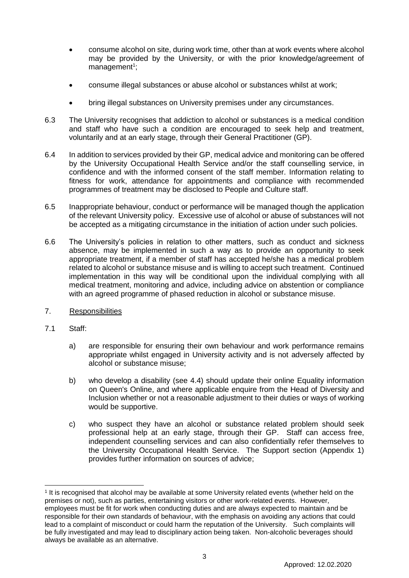- consume alcohol on site, during work time, other than at work events where alcohol may be provided by the University, or with the prior knowledge/agreement of management<sup>1</sup>;
- consume illegal substances or abuse alcohol or substances whilst at work;
- bring illegal substances on University premises under any circumstances.
- 6.3 The University recognises that addiction to alcohol or substances is a medical condition and staff who have such a condition are encouraged to seek help and treatment, voluntarily and at an early stage, through their General Practitioner (GP).
- 6.4 In addition to services provided by their GP, medical advice and monitoring can be offered by the University Occupational Health Service and/or the staff counselling service, in confidence and with the informed consent of the staff member. Information relating to fitness for work, attendance for appointments and compliance with recommended programmes of treatment may be disclosed to People and Culture staff.
- 6.5 Inappropriate behaviour, conduct or performance will be managed though the application of the relevant University policy. Excessive use of alcohol or abuse of substances will not be accepted as a mitigating circumstance in the initiation of action under such policies.
- 6.6 The University's policies in relation to other matters, such as conduct and sickness absence, may be implemented in such a way as to provide an opportunity to seek appropriate treatment, if a member of staff has accepted he/she has a medical problem related to alcohol or substance misuse and is willing to accept such treatment. Continued implementation in this way will be conditional upon the individual complying with all medical treatment, monitoring and advice, including advice on abstention or compliance with an agreed programme of phased reduction in alcohol or substance misuse.
- 7. Responsibilities
- 7.1 Staff:

- a) are responsible for ensuring their own behaviour and work performance remains appropriate whilst engaged in University activity and is not adversely affected by alcohol or substance misuse;
- b) who develop a disability (see 4.4) should update their online Equality information on Queen's Online, and where applicable enquire from the Head of Diversity and Inclusion whether or not a reasonable adjustment to their duties or ways of working would be supportive.
- c) who suspect they have an alcohol or substance related problem should seek professional help at an early stage, through their GP. Staff can access free, independent counselling services and can also confidentially refer themselves to the University Occupational Health Service. The Support section (Appendix 1) provides further information on sources of advice;

<sup>1</sup> It is recognised that alcohol may be available at some University related events (whether held on the premises or not), such as parties, entertaining visitors or other work-related events. However, employees must be fit for work when conducting duties and are always expected to maintain and be responsible for their own standards of behaviour, with the emphasis on avoiding any actions that could lead to a complaint of misconduct or could harm the reputation of the University. Such complaints will be fully investigated and may lead to disciplinary action being taken. Non-alcoholic beverages should always be available as an alternative.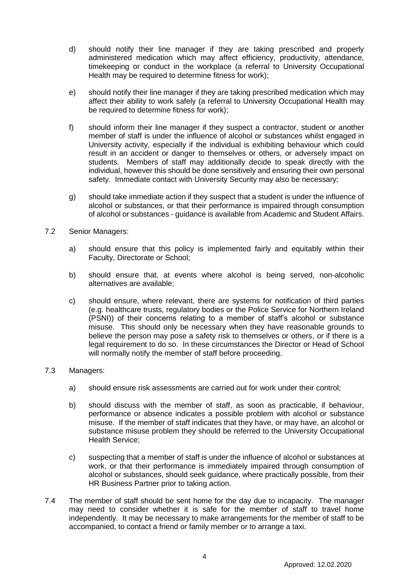- d) should notify their line manager if they are taking prescribed and properly administered medication which may affect efficiency, productivity, attendance, timekeeping or conduct in the workplace (a referral to University Occupational Health may be required to determine fitness for work);
- e) should notify their line manager if they are taking prescribed medication which may affect their ability to work safely (a referral to University Occupational Health may be required to determine fitness for work);
- f) should inform their line manager if they suspect a contractor, student or another member of staff is under the influence of alcohol or substances whilst engaged in University activity, especially if the individual is exhibiting behaviour which could result in an accident or danger to themselves or others, or adversely impact on students. Members of staff may additionally decide to speak directly with the individual, however this should be done sensitively and ensuring their own personal safety. Immediate contact with University Security may also be necessary;
- g) should take immediate action if they suspect that a student is under the influence of alcohol or substances, or that their performance is impaired through consumption of alcohol or substances - guidance is available from Academic and Student Affairs.
- 7.2 Senior Managers:
	- a) should ensure that this policy is implemented fairly and equitably within their Faculty, Directorate or School;
	- b) should ensure that, at events where alcohol is being served, non-alcoholic alternatives are available;
	- c) should ensure, where relevant, there are systems for notification of third parties (e.g. healthcare trusts, regulatory bodies or the Police Service for Northern Ireland (PSNI)) of their concerns relating to a member of staff's alcohol or substance misuse. This should only be necessary when they have reasonable grounds to believe the person may pose a safety risk to themselves or others, or if there is a legal requirement to do so. In these circumstances the Director or Head of School will normally notify the member of staff before proceeding.

### 7.3 Managers:

- a) should ensure risk assessments are carried out for work under their control;
- b) should discuss with the member of staff, as soon as practicable, if behaviour, performance or absence indicates a possible problem with alcohol or substance misuse. If the member of staff indicates that they have, or may have, an alcohol or substance misuse problem they should be referred to the University Occupational Health Service;
- c) suspecting that a member of staff is under the influence of alcohol or substances at work, or that their performance is immediately impaired through consumption of alcohol or substances, should seek guidance, where practically possible, from their HR Business Partner prior to taking action.
- 7.4 The member of staff should be sent home for the day due to incapacity. The manager may need to consider whether it is safe for the member of staff to travel home independently. It may be necessary to make arrangements for the member of staff to be accompanied, to contact a friend or family member or to arrange a taxi.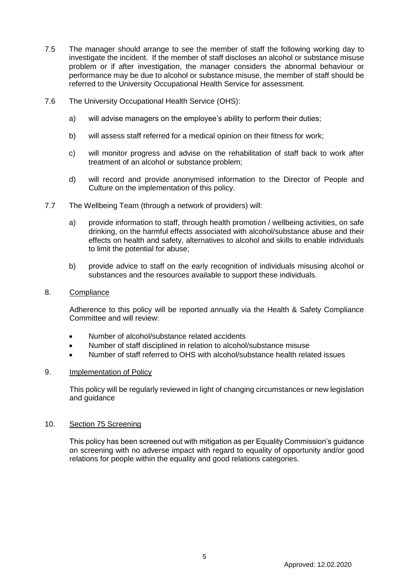- 7.5 The manager should arrange to see the member of staff the following working day to investigate the incident. If the member of staff discloses an alcohol or substance misuse problem or if after investigation, the manager considers the abnormal behaviour or performance may be due to alcohol or substance misuse, the member of staff should be referred to the University Occupational Health Service for assessment.
- 7.6 The University Occupational Health Service (OHS):
	- a) will advise managers on the employee's ability to perform their duties;
	- b) will assess staff referred for a medical opinion on their fitness for work;
	- c) will monitor progress and advise on the rehabilitation of staff back to work after treatment of an alcohol or substance problem;
	- d) will record and provide anonymised information to the Director of People and Culture on the implementation of this policy.
- 7.7 The Wellbeing Team (through a network of providers) will:
	- a) provide information to staff, through health promotion / wellbeing activities, on safe drinking, on the harmful effects associated with alcohol/substance abuse and their effects on health and safety, alternatives to alcohol and skills to enable individuals to limit the potential for abuse;
	- b) provide advice to staff on the early recognition of individuals misusing alcohol or substances and the resources available to support these individuals.

### 8. Compliance

Adherence to this policy will be reported annually via the Health & Safety Compliance Committee and will review:

- Number of alcohol/substance related accidents
- Number of staff disciplined in relation to alcohol/substance misuse
- Number of staff referred to OHS with alcohol/substance health related issues

### 9. Implementation of Policy

This policy will be regularly reviewed in light of changing circumstances or new legislation and guidance

### 10. Section 75 Screening

This policy has been screened out with mitigation as per Equality Commission's guidance on screening with no adverse impact with regard to equality of opportunity and/or good relations for people within the equality and good relations categories.